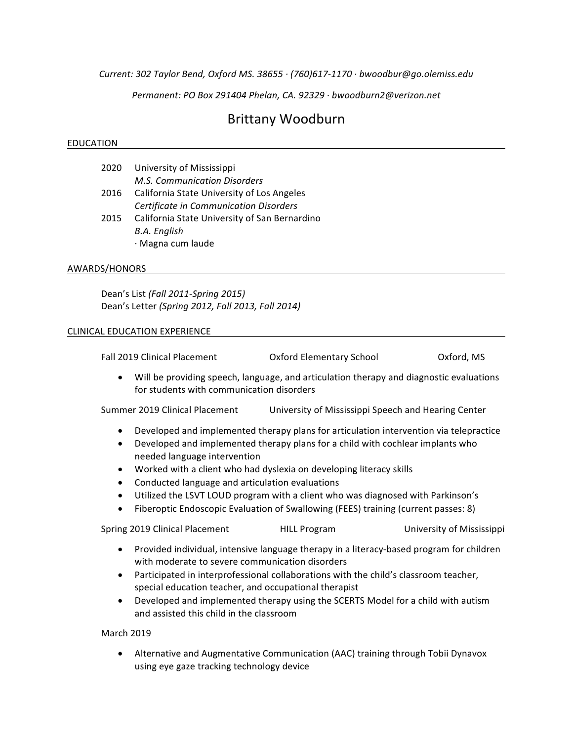*Current: 302 Taylor Bend, Oxford MS. 38655 · (760)617-1170 · bwoodbur@go.olemiss.edu*

*Permanent: PO Box 291404 Phelan, CA. 92329 · bwoodburn2@verizon.net*

# Brittany Woodburn

#### EDUCATION

| 2020 | University of Mississippi                     |  |
|------|-----------------------------------------------|--|
|      | M.S. Communication Disorders                  |  |
| 2016 | California State University of Los Angeles    |  |
|      | Certificate in Communication Disorders        |  |
| 2015 | California State University of San Bernardino |  |
|      | B.A. English                                  |  |
|      | · Magna cum laude                             |  |

#### AWARDS/HONORS

Dean's List *(Fall 2011-Spring 2015)* Dean's Letter (Spring 2012, Fall 2013, Fall 2014)

#### CLINICAL EDUCATION EXPERIENCE

| Fall 2019 Clinical Placement | <b>Oxford Elementary School</b> | Oxford, MS |
|------------------------------|---------------------------------|------------|
|                              |                                 |            |

• Will be providing speech, language, and articulation therapy and diagnostic evaluations for students with communication disorders

Summer 2019 Clinical Placement University of Mississippi Speech and Hearing Center

- Developed and implemented therapy plans for articulation intervention via telepractice
- Developed and implemented therapy plans for a child with cochlear implants who needed language intervention
- Worked with a client who had dyslexia on developing literacy skills
- Conducted language and articulation evaluations
- Utilized the LSVT LOUD program with a client who was diagnosed with Parkinson's
- Fiberoptic Endoscopic Evaluation of Swallowing (FEES) training (current passes: 8)

Spring 2019 Clinical Placement **All Program** University of Mississippi

- Provided individual, intensive language therapy in a literacy-based program for children with moderate to severe communication disorders
- Participated in interprofessional collaborations with the child's classroom teacher, special education teacher, and occupational therapist
- Developed and implemented therapy using the SCERTS Model for a child with autism and assisted this child in the classroom

March 2019

• Alternative and Augmentative Communication (AAC) training through Tobii Dynavox using eye gaze tracking technology device